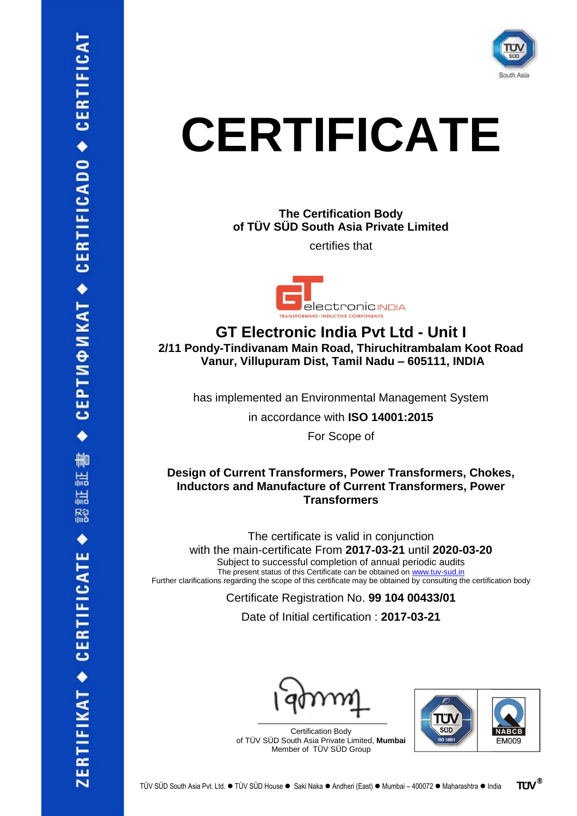

## **CERTIFICATE**

**The Certification Body of TÜV SÜD South Asia Private Limited**

certifies that



**GT Electronic India Pvt Ltd - Unit I 2/11 Pondy-Tindivanam Main Road, Thiruchitrambalam Koot Road Vanur, Villupuram Dist, Tamil Nadu – 605111, INDIA**

has implemented an Environmental Management System

in accordance with **ISO 14001:2015**

For Scope of

## **Design of Current Transformers, Power Transformers, Chokes, Inductors and Manufacture of Current Transformers, Power Transformers**

The certificate is valid in conjunction with the main-certificate From **2017-03-21** until **2020-03-20** Subject to successful completion of annual periodic audits The present status of this Certificate can be obtained on [www.tuv-sud.in](http://www.tuv-sud.in/) Further clarifications regarding the scope of this certificate may be obtained by consulting the certification body

Certificate Registration No. **99 104 00433/01**

Date of Initial certification : **2017-03-21**





 $\bullet$  CEPTU $\circ$  MKAT  $\bullet$  CERTIFICADO  $\bullet$  CERTIFICAT 証書 温 鬸 ZERTIFIKAT ◆ CERTIFICATE ◆

Certification Body